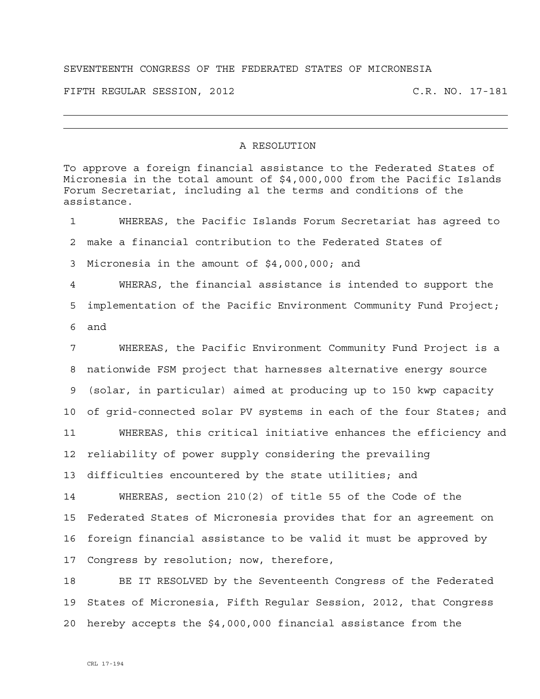## SEVENTEENTH CONGRESS OF THE FEDERATED STATES OF MICRONESIA

FIFTH REGULAR SESSION, 2012 C.R. NO. 17-181

## A RESOLUTION

To approve a foreign financial assistance to the Federated States of Micronesia in the total amount of \$4,000,000 from the Pacific Islands Forum Secretariat, including al the terms and conditions of the assistance. 1 WHEREAS, the Pacific Islands Forum Secretariat has agreed to 2 make a financial contribution to the Federated States of 3 Micronesia in the amount of \$4,000,000; and 4 WHERAS, the financial assistance is intended to support the 5 implementation of the Pacific Environment Community Fund Project; 6 and 7 WHEREAS, the Pacific Environment Community Fund Project is a 8 nationwide FSM project that harnesses alternative energy source 9 (solar, in particular) aimed at producing up to 150 kwp capacity 10 of grid-connected solar PV systems in each of the four States; and 11 WHEREAS, this critical initiative enhances the efficiency and 12 reliability of power supply considering the prevailing 13 difficulties encountered by the state utilities; and 14 WHEREAS, section 210(2) of title 55 of the Code of the 15 Federated States of Micronesia provides that for an agreement on 16 foreign financial assistance to be valid it must be approved by 17 Congress by resolution; now, therefore, 18 BE IT RESOLVED by the Seventeenth Congress of the Federated 19 States of Micronesia, Fifth Regular Session, 2012, that Congress 20 hereby accepts the \$4,000,000 financial assistance from the